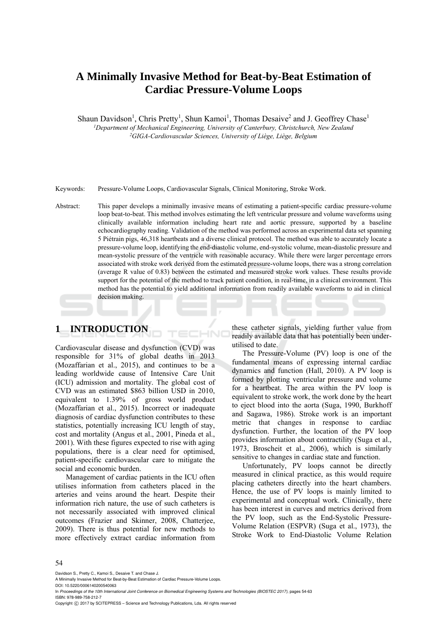# **A Minimally Invasive Method for Beat-by-Beat Estimation of Cardiac Pressure-Volume Loops**

Shaun Davidson<sup>1</sup>, Chris Pretty<sup>1</sup>, Shun Kamoi<sup>1</sup>, Thomas Desaive<sup>2</sup> and J. Geoffrey Chase<sup>1</sup> *1Department of Mechanical Engineering, University of Canterbury, Christchurch, New Zealand 2GIGA-Cardiovascular Sciences, University of Liège, Liège, Belgium* 

Keywords: Pressure-Volume Loops, Cardiovascular Signals, Clinical Monitoring, Stroke Work.

Abstract: This paper develops a minimally invasive means of estimating a patient-specific cardiac pressure-volume loop beat-to-beat. This method involves estimating the left ventricular pressure and volume waveforms using clinically available information including heart rate and aortic pressure, supported by a baseline echocardiography reading. Validation of the method was performed across an experimental data set spanning 5 Piétrain pigs, 46,318 heartbeats and a diverse clinical protocol. The method was able to accurately locate a pressure-volume loop, identifying the end-diastolic volume, end-systolic volume, mean-diastolic pressure and mean-systolic pressure of the ventricle with reasonable accuracy. While there were larger percentage errors associated with stroke work derived from the estimated pressure-volume loops, there was a strong correlation (average R value of 0.83) between the estimated and measured stroke work values. These results provide support for the potential of the method to track patient condition, in real-time, in a clinical environment. This method has the potential to yield additional information from readily available waveforms to aid in clinical decision making.

# **1 INTRODUCTION**

Cardiovascular disease and dysfunction (CVD) was responsible for 31% of global deaths in 2013 (Mozaffarian et al., 2015), and continues to be a leading worldwide cause of Intensive Care Unit (ICU) admission and mortality. The global cost of CVD was an estimated \$863 billion USD in 2010, equivalent to 1.39% of gross world product (Mozaffarian et al., 2015). Incorrect or inadequate diagnosis of cardiac dysfunction contributes to these statistics, potentially increasing ICU length of stay, cost and mortality (Angus et al., 2001, Pineda et al., 2001). With these figures expected to rise with aging populations, there is a clear need for optimised, patient-specific cardiovascular care to mitigate the social and economic burden.

Management of cardiac patients in the ICU often utilises information from catheters placed in the arteries and veins around the heart. Despite their information rich nature, the use of such catheters is not necessarily associated with improved clinical outcomes (Frazier and Skinner, 2008, Chatterjee, 2009). There is thus potential for new methods to more effectively extract cardiac information from

these catheter signals, yielding further value from readily available data that has potentially been underutilised to date.

The Pressure-Volume (PV) loop is one of the fundamental means of expressing internal cardiac dynamics and function (Hall, 2010). A PV loop is formed by plotting ventricular pressure and volume for a heartbeat. The area within the PV loop is equivalent to stroke work, the work done by the heart to eject blood into the aorta (Suga, 1990, Burkhoff and Sagawa, 1986). Stroke work is an important metric that changes in response to cardiac dysfunction. Further, the location of the PV loop provides information about contractility (Suga et al., 1973, Broscheit et al., 2006), which is similarly sensitive to changes in cardiac state and function.

Unfortunately, PV loops cannot be directly measured in clinical practice, as this would require placing catheters directly into the heart chambers. Hence, the use of PV loops is mainly limited to experimental and conceptual work. Clinically, there has been interest in curves and metrics derived from the PV loop, such as the End-Systolic Pressure-Volume Relation (ESPVR) (Suga et al., 1973), the Stroke Work to End-Diastolic Volume Relation

#### 54

Davidson S., Pretty C., Kamoi S., Desaive T. and Chase J.

DOI: 10.5220/0006140200540063

In *Proceedings of the 10th International Joint Conference on Biomedical Engineering Systems and Technologies (BIOSTEC 2017)*, pages 54-63 ISBN: 978-989-758-212-7

Copyright (C) 2017 by SCITEPRESS - Science and Technology Publications, Lda. All rights reserved

A Minimally Invasive Method for Beat-by-Beat Estimation of Cardiac Pressure-Volume Loops.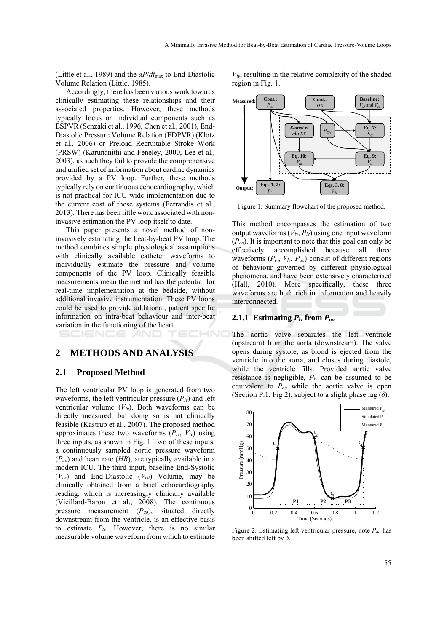(Little et al., 1989) and the *dP*/*dt*max to End-Diastolic Volume Relation (Little, 1985).

Accordingly, there has been various work towards clinically estimating these relationships and their associated properties. However, these methods typically focus on individual components such as ESPVR (Senzaki et al., 1996, Chen et al., 2001), End-Diastolic Pressure Volume Relation (EDPVR) (Klotz et al., 2006) or Preload Recruitable Stroke Work (PRSW) (Karunanithi and Feneley, 2000, Lee et al., 2003), as such they fail to provide the comprehensive and unified set of information about cardiac dynamics provided by a PV loop. Further, these methods typically rely on continuous echocardiography, which is not practical for ICU wide implementation due to the current cost of these systems (Ferrandis et al., 2013). There has been little work associated with noninvasive estimation the PV loop itself to date.

This paper presents a novel method of noninvasively estimating the beat-by-beat PV loop. The method combines simple physiological assumptions with clinically available catheter waveforms to individually estimate the pressure and volume components of the PV loop. Clinically feasible measurements mean the method has the potential for real-time implementation at the bedside, without additional invasive instrumentation. These PV loops could be used to provide additional, patient specific information on intra-beat behaviour and inter-beat variation in the functioning of the heart.

# **2 METHODS AND ANALYSIS**

## **2.1 Proposed Method**

The left ventricular PV loop is generated from two waveforms, the left ventricular pressure  $(P_k)$  and left ventricular volume  $(V<sub>l</sub>)$ . Both waveforms can be directly measured, but doing so is not clinically feasible (Kastrup et al., 2007). The proposed method approximates these two waveforms  $(P_{lv}, V_{lv})$  using three inputs, as shown in Fig. 1 Two of these inputs, a continuously sampled aortic pressure waveform (*Pao*) and heart rate (*HR*), are typically available in a modern ICU. The third input, baseline End-Systolic (*Ves*) and End-Diastolic (*Ved*) Volume, may be clinically obtained from a brief echocardiography reading, which is increasingly clinically available (Vieillard-Baron et al., 2008). The continuous pressure measurement (*Pao*), situated directly downstream from the ventricle, is an effective basis to estimate  $P_{lv}$ . However, there is no similar measurable volume waveform from which to estimate

 $V_{lv}$ , resulting in the relative complexity of the shaded region in Fig. 1.



Figure 1: Summary flowchart of the proposed method.

This method encompasses the estimation of two output waveforms  $(V<sub>l</sub>, P<sub>l</sub>)$  using one input waveform (*Pao*). It is important to note that this goal can only be effectively accomplished because all three waveforms  $(P_{lv}, V_{lv}, P_{ao})$  consist of different regions of behaviour governed by different physiological phenomena, and have been extensively characterised (Hall, 2010). More specifically, these three waveforms are both rich in information and heavily interconnected.

## **2.1.1 Estimating** *Plv* **from** *Pao*

The aortic valve separates the left ventricle (upstream) from the aorta (downstream). The valve opens during systole, as blood is ejected from the ventricle into the aorta, and closes during diastole, while the ventricle fills. Provided aortic valve resistance is negligible,  $P<sub>lv</sub>$  can be assumed to be equivalent to *Pao* while the aortic valve is open (Section P.1, Fig 2), subject to a slight phase lag  $(\delta)$ .



Figure 2: Estimating left ventricular pressure, note *Pao* has been shifted left by *δ*.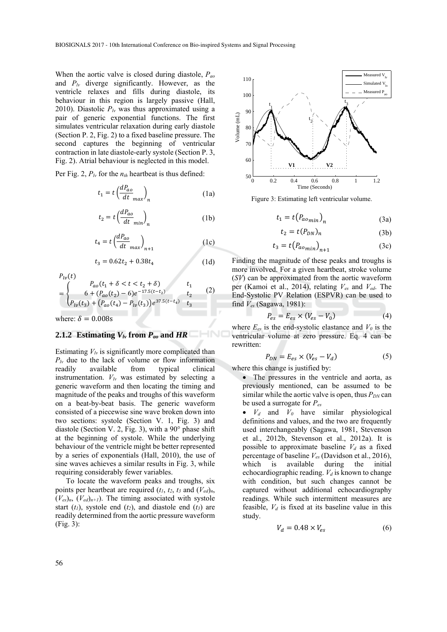When the aortic valve is closed during diastole, *Pao* and *Plv* diverge significantly. However, as the ventricle relaxes and fills during diastole, its behaviour in this region is largely passive (Hall, 2010). Diastolic  $P<sub>lv</sub>$  was thus approximated using a pair of generic exponential functions. The first simulates ventricular relaxation during early diastole (Section P. 2, Fig. 2) to a fixed baseline pressure. The second captures the beginning of ventricular contraction in late diastole-early systole (Section P. 3, Fig. 2). Atrial behaviour is neglected in this model.

Per Fig. 2,  $P_{lv}$  for the  $n_{th}$  heartbeat is thus defined:

$$
t_1 = t \left(\frac{dP_{ao}}{dt}_{max}\right)_n \tag{1a}
$$

$$
t_2 = t \left(\frac{dP_{ao}}{dt_{min}}\right)_n \tag{1b}
$$

$$
t_4 = t \left(\frac{dP_{ao}}{dt}_{max}\right)_{n+1} \tag{1c}
$$

$$
t_3 = 0.62t_2 + 0.38t_4 \tag{1d}
$$

$$
P_{lv}(t)
$$
\n
$$
= \begin{cases}\nP_{ao}(t_1 + \delta < t < t_2 + \delta) \\
6 + (P_{ao}(t_2) - 6)e^{-17.5(t - t_2)} & t_2 \\
P_{lv}(t_3) + (P_{ao}(t_4) - P_{lv}(t_3))e^{37.5(t - t_4)} & t_3\n\end{cases} \tag{2}
$$

where:  $\delta = 0.008$ s

#### 2.1.2 Estimating  $V_{lv}$  from  $P_{ao}$  and HR

Estimating  $V_{\nu}$  is significantly more complicated than  $P_{lv}$  due to the lack of volume or flow information readily available from typical clinical instrumentation.  $V_{lv}$  was estimated by selecting a generic waveform and then locating the timing and magnitude of the peaks and troughs of this waveform on a beat-by-beat basis. The generic waveform consisted of a piecewise sine wave broken down into two sections: systole (Section V. 1, Fig. 3) and diastole (Section V. 2, Fig. 3), with a 90° phase shift at the beginning of systole. While the underlying behaviour of the ventricle might be better represented by a series of exponentials (Hall, 2010), the use of sine waves achieves a similar results in Fig. 3, while requiring considerably fewer variables.

To locate the waveform peaks and troughs, six points per heartbeat are required  $(t_1, t_2, t_3, t_4)$  and  $(V_{ed})_n$ ,  $(V_{es})_n$ ,  $(V_{ed})_{n+1}$ ). The timing associated with systole start  $(t_1)$ , systole end  $(t_2)$ , and diastole end  $(t_3)$  are readily determined from the aortic pressure waveform (Fig. 3):



Figure 3: Estimating left ventricular volume.

$$
t_1 = t(P_{aomin})_n \tag{3a}
$$

$$
t_2 = t(P_{DN})_n \tag{3b}
$$

$$
t_3 = t(P_{aomin})_{n+1}
$$
 (3c)

Finding the magnitude of these peaks and troughs is more involved. For a given heartbeat, stroke volume (*SV*) can be approximated from the aortic waveform per (Kamoi et al., 2014), relating *Ves* and *Ved*. The End-Systolic PV Relation (ESPVR) can be used to find *Ves* (Sagawa, 1981):

$$
P_{es} = E_{es} \times (V_{es} - V_0) \tag{4}
$$

where  $E_{es}$  is the end-systolic elastance and  $V_0$  is the ventricular volume at zero pressure. Eq. 4 can be rewritten:

$$
P_{DN} = E_{es} \times (V_{es} - V_d) \tag{5}
$$

where this change is justified by:

• The pressures in the ventricle and aorta, as previously mentioned, can be assumed to be similar while the aortic valve is open, thus  $P_{DN}$  can be used a surrogate for *Pes*

•  $V_d$  and  $V_0$  have similar physiological definitions and values, and the two are frequently used interchangeably (Sagawa, 1981, Stevenson et al., 2012b, Stevenson et al., 2012a). It is possible to approximate baseline  $V_d$  as a fixed percentage of baseline *Ves* (Davidson et al., 2016), which is available during the initial echocardiographic reading.  $V_d$  is known to change with condition, but such changes cannot be captured without additional echocardiography readings. While such intermittent measures are feasible,  $V_d$  is fixed at its baseline value in this study.

$$
V_d = 0.48 \times V_{es} \tag{6}
$$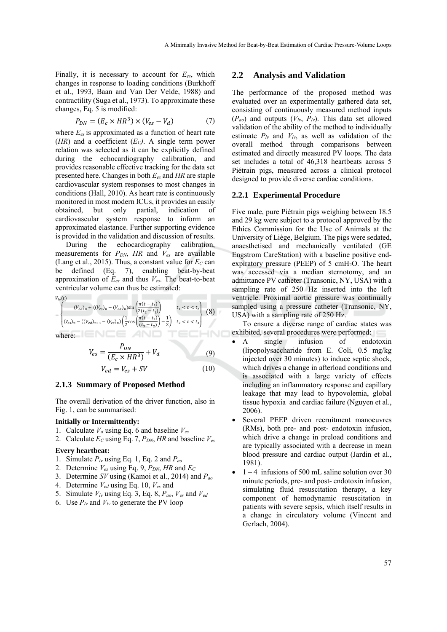Finally, it is necessary to account for *Ees*, which changes in response to loading conditions (Burkhoff et al., 1993, Baan and Van Der Velde, 1988) and contractility (Suga et al., 1973). To approximate these changes, Eq. 5 is modified:

$$
P_{DN} = (E_c \times HR^3) \times (V_{es} - V_d) \tag{7}
$$

where  $E_{es}$  is approximated as a function of heart rate (*HR*) and a coefficient (*EC)*. A single term power relation was selected as it can be explicitly defined during the echocardiography calibration, and provides reasonable effective tracking for the data set presented here. Changes in both *Ees* and *HR* are staple cardiovascular system responses to most changes in conditions (Hall, 2010). As heart rate is continuously monitored in most modern ICUs, it provides an easily obtained, but only partial, indication of cardiovascular system response to inform an approximated elastance. Further supporting evidence is provided in the validation and discussion of results.

During the echocardiography calibration, measurements for  $P_{DN}$ , *HR* and  $V_{es}$  are available (Lang et al., 2015). Thus, a constant value for  $E_C$  can be defined (Eq. 7), enabling beat-by-beat approximation of *Ees* and thus *Ves*. The beat-to-beat ventricular volume can thus be estimated:

$$
V_{lv}(t)
$$

$$
= \begin{cases} (V_{ed})_n + ((V_{es})_n - (V_{ed})_n) \sin\left(\frac{\pi(t - t_1)}{2(t_2 - t_1)}\right) & t_1 < t < t_2 \\ (V_{es})_n - ((V_{ed})_{n+1} - (V_{es})_n) \left(\frac{1}{2} \cos\left(\frac{\pi(t - t_2)}{(t_3 - t_2)}\right) - \frac{1}{2}\right) & t_2 < t < t_3 \end{cases}
$$
(8)

where:

$$
V_{es} = \frac{P_{DN}}{(E_c \times HR^3)} + V_d \tag{9}
$$

$$
V_{ed} = V_{es} + SV \tag{10}
$$

#### **2.1.3 Summary of Proposed Method**

The overall derivation of the driver function, also in Fig. 1, can be summarised:

# **Initially or Intermittently:**

- 1. Calculate  $V_d$  using Eq. 6 and baseline  $V_{es}$
- 2. Calculate *EC* using Eq. 7, *PDN*, *HR* and baseline *Ves*

#### **Every heartbeat:**

- 1. Simulate *Plv* using Eq. 1, Eq. 2 and *Pao*
- 2. Determine  $V_{es}$  using Eq. 9,  $P_{DN}$ , HR and  $E_C$
- 3. Determine *SV* using (Kamoi et al., 2014) and *Pao*
- 4. Determine *Ved* using Eq. 10, *Ves* and
- 5. Simulate *Vlv* using Eq. 3, Eq. 8, *Pao*, *Ves* and *Ved*
- 6. Use  $P_{lv}$  and  $V_{lv}$  to generate the PV loop

#### **2.2 Analysis and Validation**

The performance of the proposed method was evaluated over an experimentally gathered data set, consisting of continuously measured method inputs  $(P_{ao})$  and outputs  $(V_{lv}, P_{lv})$ . This data set allowed validation of the ability of the method to individually estimate  $P_{lv}$  and  $V_{lv}$ , as well as validation of the overall method through comparisons between estimated and directly measured PV loops. The data set includes a total of 46,318 heartbeats across 5 Piétrain pigs, measured across a clinical protocol designed to provide diverse cardiac conditions.

#### **2.2.1 Experimental Procedure**

Five male, pure Piétrain pigs weighing between 18.5 and 29 kg were subject to a protocol approved by the Ethics Commission for the Use of Animals at the University of Liège, Belgium. The pigs were sedated, anaesthetised and mechanically ventilated (GE Engstrom CareStation) with a baseline positive endexpiratory pressure (PEEP) of  $5 \text{ cm}H_2O$ . The heart was accessed via a median sternotomy, and an admittance PV catheter (Transonic, NY, USA) with a sampling rate of 250 Hz inserted into the left ventricle. Proximal aortic pressure was continually sampled using a pressure catheter (Transonic, NY, USA) with a sampling rate of 250 Hz.

To ensure a diverse range of cardiac states was exhibited, several procedures were performed:

- A single infusion of endotoxin (lipopolysaccharide from E. Coli, 0.5 mg/kg injected over 30 minutes) to induce septic shock, which drives a change in afterload conditions and is associated with a large variety of effects including an inflammatory response and capillary leakage that may lead to hypovolemia, global tissue hypoxia and cardiac failure (Nguyen et al., 2006).
- Several PEEP driven recruitment manoeuvres (RMs), both pre- and post- endotoxin infusion, which drive a change in preload conditions and are typically associated with a decrease in mean blood pressure and cardiac output (Jardin et al., 1981).
- $1 4$  infusions of 500 mL saline solution over 30 minute periods, pre- and post- endotoxin infusion, simulating fluid resuscitation therapy, a key component of hemodynamic resuscitation in patients with severe sepsis, which itself results in a change in circulatory volume (Vincent and Gerlach, 2004).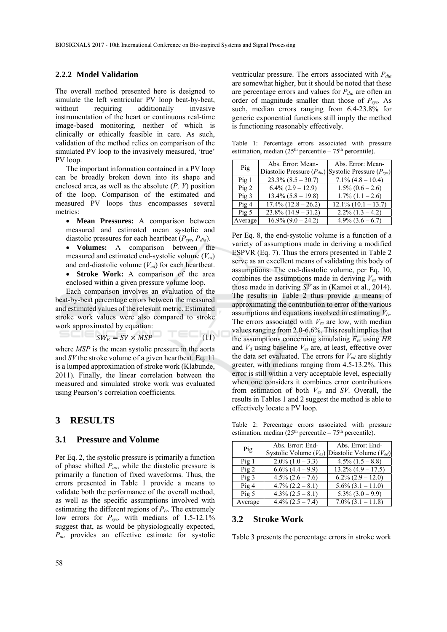## **2.2.2 Model Validation**

The overall method presented here is designed to simulate the left ventricular PV loop beat-by-beat, without requiring additionally invasive instrumentation of the heart or continuous real-time image-based monitoring, neither of which is clinically or ethically feasible in care. As such, validation of the method relies on comparison of the simulated PV loop to the invasively measured, 'true' PV loop.

The important information contained in a PV loop can be broadly broken down into its shape and enclosed area, as well as the absolute (*P, V*) position of the loop. Comparison of the estimated and measured PV loops thus encompasses several metrics:

- **Mean Pressures:** A comparison between measured and estimated mean systolic and diastolic pressures for each heartbeat  $(P_{sys}, P_{dia})$ .
- **Volumes:** A comparison between the measured and estimated end-systolic volume (*Ves*) and end-diastolic volume (*Ved*) for each heartbeat.
- **Stroke Work:** A comparison of the area enclosed within a given pressure volume loop.

Each comparison involves an evaluation of the beat-by-beat percentage errors between the measured and estimated values of the relevant metric. Estimated stroke work values were also compared to stroke work approximated by equation:

$$
SW_E = SV \times MSP \tag{11}
$$

where *MSP* is the mean systolic pressure in the aorta and *SV* the stroke volume of a given heartbeat. Eq. 11 is a lumped approximation of stroke work (Klabunde, 2011). Finally, the linear correlation between the measured and simulated stroke work was evaluated using Pearson's correlation coefficients.

# **3 RESULTS**

#### **3.1 Pressure and Volume**

Per Eq. 2, the systolic pressure is primarily a function of phase shifted *Pao*, while the diastolic pressure is primarily a function of fixed waveforms. Thus, the errors presented in Table 1 provide a means to validate both the performance of the overall method, as well as the specific assumptions involved with estimating the different regions of  $P_{lv}$ . The extremely low errors for  $P_{sys}$ , with medians of 1.5-12.1% suggest that, as would be physiologically expected, *Pao* provides an effective estimate for systolic

ventricular pressure. The errors associated with *Pdia* are somewhat higher, but it should be noted that these are percentage errors and values for  $P_{dia}$  are often an order of magnitude smaller than those of *Psys*. As such, median errors ranging from 6.4-23.8% for generic exponential functions still imply the method is functioning reasonably effectively.

Table 1: Percentage errors associated with pressure estimation, median  $(25<sup>th</sup>$  percentile – 75<sup>th</sup> percentile).

| Pig              | Abs. Error: Mean-                                            | Abs. Error: Mean-      |
|------------------|--------------------------------------------------------------|------------------------|
|                  | Diastolic Pressure $(P_{dia})$ Systolic Pressure $(P_{sys})$ |                        |
| Pig1             | $23.3\% (8.5 - 30.7)$                                        | $7.1\% (4.8 - 10.4)$   |
| Pig2             | $6.4\%$ (2.9 – 12.9)                                         | $1.5\% (0.6 - 2.6)$    |
| Pig <sub>3</sub> | $13.4\% (5.8 - 19.8)$                                        | $1.7\%$ $(1.1 - 2.6)$  |
| Pig4             | $17.4\%$ $(12.8 - 26.2)$                                     | $12.1\% (10.1 - 13.7)$ |
| $\text{Pig } 5$  | $23.8\%$ (14.9 – 31.2)                                       | $2.2\%$ $(1.3 - 4.2)$  |
| Average          | $16.9\% (9.0 - 24.2)$                                        | $4.9\%$ $(3.6 - 6.7)$  |

Per Eq. 8, the end-systolic volume is a function of a variety of assumptions made in deriving a modified ESPVR (Eq. 7). Thus the errors presented in Table 2 serve as an excellent means of validating this body of assumptions. The end-diastolic volume, per Eq. 10, combines the assumptions made in deriving  $V_{es}$  with those made in deriving *SV* as in (Kamoi et al., 2014). The results in Table 2 thus provide a means of approximating the contribution to error of the various assumptions and equations involved in estimating  $V_{\nu}$ . The errors associated with *Ves* are low, with median values ranging from 2.0-6.6%. This result implies that the assumptions concerning simulating *Ees* using *HR* and *Vd* using baseline *Ves* are, at least, effective over the data set evaluated. The errors for *Ved* are slightly greater, with medians ranging from 4.5-13.2%. This error is still within a very acceptable level, especially when one considers it combines error contributions from estimation of both *Ves* and *SV.* Overall, the results in Tables 1 and 2 suggest the method is able to effectively locate a PV loop.

Table 2: Percentage errors associated with pressure estimation, median  $(25<sup>th</sup>$  percentile – 75<sup>th</sup> percentile).

|                  | Abs. Error: End-      | Abs. Error: End-                                           |
|------------------|-----------------------|------------------------------------------------------------|
| Pig              |                       | Systolic Volume ( $V_{es}$ ) Diastolic Volume ( $V_{ed}$ ) |
| Pig1             | $2.0\%$ (1.0 – 3.3)   | $4.5\%$ $(1.5 - 8.8)$                                      |
| Pig2             | $6.6\%$ $(4.4 - 9.9)$ | $13.2\% (4.9 - 17.5)$                                      |
| Pig <sub>3</sub> | $4.5\% (2.6 - 7.6)$   | $6.2\%$ $(2.9 - 12.0)$                                     |
| Pig4             | $4.7\%$ $(2.2 - 8.1)$ | $5.6\% (3.1 - 11.0)$                                       |
| Pig <sub>5</sub> | $4.3\% (2.5 - 8.1)$   | $5.3\% (3.0 - 9.9)$                                        |
| Average          | $4.4\%$ $(2.5 - 7.4)$ | $7.0\%$ $(3.1 - 11.8)$                                     |

### **3.2 Stroke Work**

Table 3 presents the percentage errors in stroke work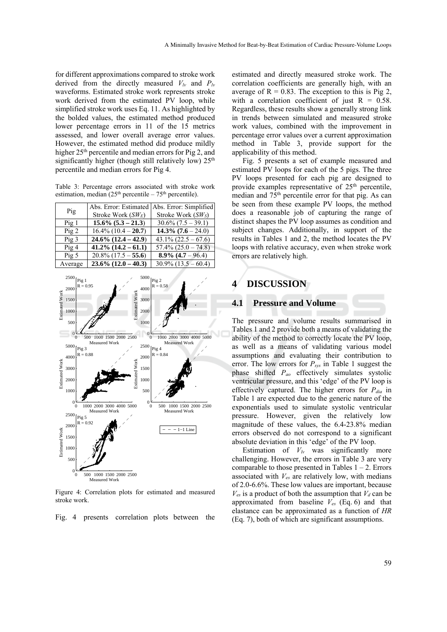for different approximations compared to stroke work derived from the directly measured  $V_{lv}$  and  $P_{lv}$ waveforms. Estimated stroke work represents stroke work derived from the estimated PV loop, while simplified stroke work uses Eq. 11. As highlighted by the bolded values, the estimated method produced lower percentage errors in 11 of the 15 metrics assessed, and lower overall average error values. However, the estimated method did produce mildly higher 25<sup>th</sup> percentile and median errors for Pig 2, and significantly higher (though still relatively low)  $25<sup>th</sup>$ percentile and median errors for Pig 4.

Table 3: Percentage errors associated with stroke work estimation, median  $(25<sup>th</sup>$  percentile – 75<sup>th</sup> percentile).

| Pig              | Abs. Error: Estimated<br>Stroke Work (SWE) | Abs. Error: Simplified<br>Stroke Work $(SW_S)$ |
|------------------|--------------------------------------------|------------------------------------------------|
| Pig1             | $15.6\% (5.3 - 21.3)$                      | $30.6\% (7.5 - 39.1)$                          |
| Pig2             | $16.4\%$ (10.4 – 20.7)                     | 14.3% $(7.6 - 24.0)$                           |
| Pig <sub>3</sub> | $24.6\%$ $(12.4 - 42.9)$                   | $43.1\% (22.5 - 67.6)$                         |
| Pig4             | $41.2\%$ $(14.2 - 61.1)$                   | $57.4\% (25.0 - 74.8)$                         |
| Pig <sub>5</sub> | $20.8\%$ (17.5 – 55.6)                     | $8.9\%$ $(4.7 - 96.4)$                         |
| Average          | $23.6\%$ $(12.0 - 40.3)$                   | $30.9\%$ (13.5 – 60.4)                         |



Figure 4: Correlation plots for estimated and measured stroke work.

Fig. 4 presents correlation plots between the

estimated and directly measured stroke work. The correlation coefficients are generally high, with an average of  $R = 0.83$ . The exception to this is Pig 2, with a correlation coefficient of just  $R = 0.58$ . Regardless, these results show a generally strong link in trends between simulated and measured stroke work values, combined with the improvement in percentage error values over a current approximation method in Table 3, provide support for the applicability of this method.

Fig. 5 presents a set of example measured and estimated PV loops for each of the 5 pigs. The three PV loops presented for each pig are designed to provide examples representative of  $25<sup>th</sup>$  percentile, median and 75th percentile error for that pig. As can be seen from these example PV loops, the method does a reasonable job of capturing the range of distinct shapes the PV loop assumes as condition and subject changes. Additionally, in support of the results in Tables 1 and 2, the method locates the PV loops with relative accuracy, even when stroke work errors are relatively high.

# **4 DISCUSSION**

## **4.1 Pressure and Volume**

The pressure and volume results summarised in Tables 1 and 2 provide both a means of validating the ability of the method to correctly locate the PV loop, as well as a means of validating various model assumptions and evaluating their contribution to error. The low errors for *Psys* in Table 1 suggest the phase shifted *Pao* effectively simulates systolic ventricular pressure, and this 'edge' of the PV loop is effectively captured. The higher errors for  $P_{dia}$  in Table 1 are expected due to the generic nature of the exponentials used to simulate systolic ventricular pressure. However, given the relatively low magnitude of these values, the 6.4-23.8% median errors observed do not correspond to a significant absolute deviation in this 'edge' of the PV loop.

Estimation of  $V_{lv}$  was significantly more challenging. However, the errors in Table 3 are very comparable to those presented in Tables  $1 - 2$ . Errors associated with *Ves* are relatively low, with medians of 2.0-6.6%. These low values are important, because  $V_{es}$  is a product of both the assumption that  $V_d$  can be approximated from baseline *Ves* (Eq. 6) and that elastance can be approximated as a function of *HR* (Eq. 7), both of which are significant assumptions.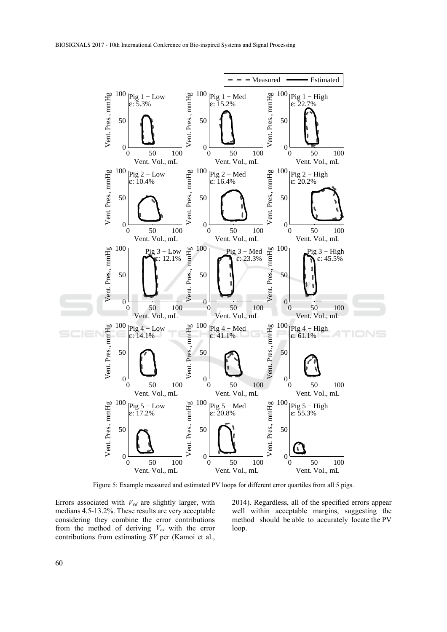

Figure 5: Example measured and estimated PV loops for different error quartiles from all 5 pigs.

Errors associated with *Ved* are slightly larger, with medians 4.5-13.2%. These results are very acceptable considering they combine the error contributions from the method of deriving *Ves* with the error contributions from estimating *SV* per (Kamoi et al.,

2014). Regardless, all of the specified errors appear well within acceptable margins, suggesting the method should be able to accurately locate the PV loop.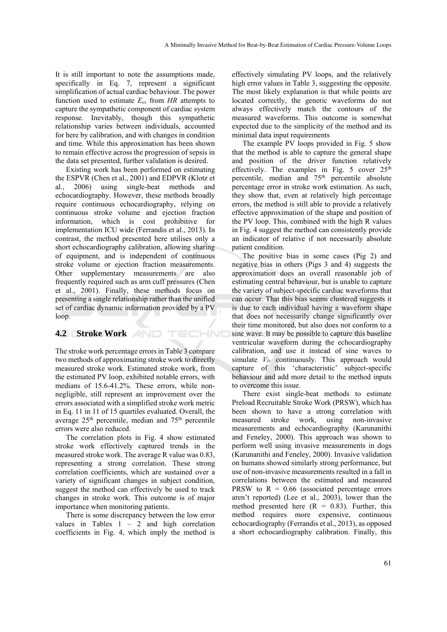It is still important to note the assumptions made, specifically in Eq. 7, represent a significant simplification of actual cardiac behaviour. The power function used to estimate  $E_{es}$  from HR attempts to capture the sympathetic component of cardiac system response. Inevitably, though this sympathetic relationship varies between individuals, accounted for here by calibration, and with changes in condition and time. While this approximation has been shown to remain effective across the progression of sepsis in the data set presented, further validation is desired.

Existing work has been performed on estimating the ESPVR (Chen et al., 2001) and EDPVR (Klotz et al., 2006) using single-beat methods and echocardiography. However, these methods broadly require continuous echocardiography, relying on continuous stroke volume and ejection fraction information, which is cost prohibitive for implementation ICU wide (Ferrandis et al., 2013). In contrast, the method presented here utilises only a short echocardiography calibration, allowing sharing of equipment, and is independent of continuous stroke volume or ejection fraction measurements. Other supplementary measurements are also frequently required such as arm cuff pressures (Chen et al., 2001). Finally, these methods focus on presenting a single relationship rather than the unified set of cardiac dynamic information provided by a PV loop.

# **4.2 Stroke Work**

The stroke work percentage errors in Table 3 compare two methods of approximating stroke work to directly measured stroke work. Estimated stroke work, from the estimated PV loop, exhibited notable errors, with medians of 15.6-41.2%. These errors, while nonnegligible, still represent an improvement over the errors associated with a simplified stroke work metric in Eq. 11 in 11 of 15 quartiles evaluated. Overall, the average 25th percentile, median and 75th percentile errors were also reduced.

TECHNO

The correlation plots in Fig. 4 show estimated stroke work effectively captured trends in the measured stroke work. The average R value was 0.83, representing a strong correlation. These strong correlation coefficients, which are sustained over a variety of significant changes in subject condition, suggest the method can effectively be used to track changes in stroke work. This outcome is of major importance when monitoring patients.

There is some discrepancy between the low error values in Tables  $1 - 2$  and high correlation coefficients in Fig. 4, which imply the method is

effectively simulating PV loops, and the relatively high error values in Table 3, suggesting the opposite. The most likely explanation is that while points are located correctly, the generic waveforms do not always effectively match the contours of the measured waveforms. This outcome is somewhat expected due to the simplicity of the method and its minimal data input requirements

The example PV loops provided in Fig. 5 show that the method is able to capture the general shape and position of the driver function relatively effectively. The examples in Fig. 5 cover 25<sup>th</sup> percentile, median and 75<sup>th</sup> percentile absolute percentage error in stroke work estimation. As such, they show that, even at relatively high percentage errors, the method is still able to provide a relatively effective approximation of the shape and position of the PV loop. This, combined with the high R values in Fig. 4 suggest the method can consistently provide an indicator of relative if not necessarily absolute patient condition.

The positive bias in some cases (Pig 2) and negative bias in others (Pigs 3 and 4) suggests the approximation does an overall reasonable job of estimating central behaviour, but is unable to capture the variety of subject-specific cardiac waveforms that can occur. That this bias seems clustered suggests it is due to each individual having a waveform shape that does not necessarily change significantly over their time monitored, but also does not conform to a sine wave. It may be possible to capture this baseline ventricular waveform during the echocardiography calibration, and use it instead of sine waves to simulate  $V_{lv}$  continuously. This approach would capture of this 'characteristic' subject-specific behaviour and add more detail to the method inputs to overcome this issue.

There exist single-beat methods to estimate Preload Recruitable Stroke Work (PRSW), which has been shown to have a strong correlation with measured stroke work, using non-invasive measurements and echocardiography (Karunanithi and Feneley, 2000). This approach was shown to perform well using invasive measurements in dogs (Karunanithi and Feneley, 2000). Invasive validation on humans showed similarly strong performance, but use of non-invasive measurements resulted in a fall in correlations between the estimated and measured PRSW to  $R = 0.66$  (associated percentage errors aren't reported) (Lee et al., 2003), lower than the method presented here  $(R = 0.83)$ . Further, this method requires more expensive, continuous echocardiography (Ferrandis et al., 2013), as opposed a short echocardiography calibration. Finally, this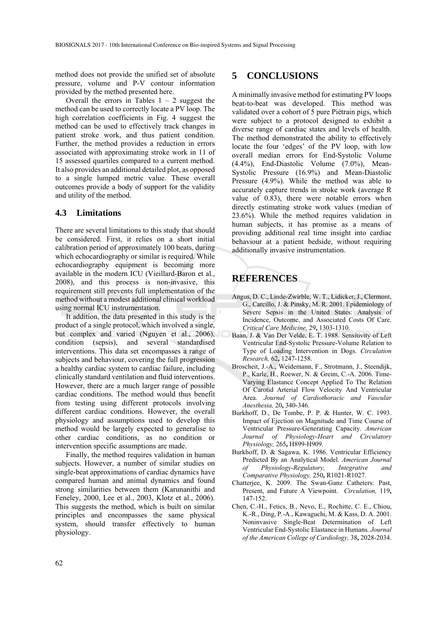method does not provide the unified set of absolute pressure, volume and P-V contour information provided by the method presented here.

Overall the errors in Tables  $1 - 2$  suggest the method can be used to correctly locate a PV loop. The high correlation coefficients in Fig. 4 suggest the method can be used to effectively track changes in patient stroke work, and thus patient condition. Further, the method provides a reduction in errors associated with approximating stroke work in 11 of 15 assessed quartiles compared to a current method. It also provides an additional detailed plot, as opposed to a single lumped metric value. These overall outcomes provide a body of support for the validity and utility of the method.

# **4.3 Limitations**

There are several limitations to this study that should be considered. First, it relies on a short initial calibration period of approximately 100 beats, during which echocardiography or similar is required. While echocardiography equipment is becoming more available in the modern ICU (Vieillard-Baron et al., 2008), and this process is non-invasive, this requirement still prevents full implementation of the method without a modest additional clinical workload using normal ICU instrumentation.

It addition, the data presented in this study is the product of a single protocol, which involved a single, but complex and varied (Nguyen et al., 2006), condition (sepsis), and several standardised interventions. This data set encompasses a range of subjects and behaviour, covering the full progression a healthy cardiac system to cardiac failure, including clinically standard ventilation and fluid interventions. However, there are a much larger range of possible cardiac conditions. The method would thus benefit from testing using different protocols involving different cardiac conditions. However, the overall physiology and assumptions used to develop this method would be largely expected to generalise to other cardiac conditions, as no condition or intervention specific assumptions are made.

Finally, the method requires validation in human subjects. However, a number of similar studies on single-beat approximations of cardiac dynamics have compared human and animal dynamics and found strong similarities between them (Karunanithi and Feneley, 2000, Lee et al., 2003, Klotz et al., 2006). This suggests the method, which is built on similar principles and encompasses the same physical system, should transfer effectively to human physiology.

# **5 CONCLUSIONS**

A minimally invasive method for estimating PV loops beat-to-beat was developed. This method was validated over a cohort of 5 pure Piétrain pigs, which were subject to a protocol designed to exhibit a diverse range of cardiac states and levels of health. The method demonstrated the ability to effectively locate the four 'edges' of the PV loop, with low overall median errors for End-Systolic Volume (4.4%), End-Diastolic Volume (7.0%), Mean-Systolic Pressure (16.9%) and Mean-Diastolic Pressure (4.9%). While the method was able to accurately capture trends in stroke work (average R value of 0.83), there were notable errors when directly estimating stroke work values (median of 23.6%). While the method requires validation in human subjects, it has promise as a means of providing additional real time insight into cardiac behaviour at a patient bedside, without requiring additionally invasive instrumentation.

# **REFERENCES**

- Angus, D. C., Linde-Zwirble, W. T., Lidicker, J., Clermont, G., Carcillo, J. & Pinsky, M. R. 2001. Epidemiology of Severe Sepsis in the United States: Analysis of Incidence, Outcome, and Associated Costs Of Care. *Critical Care Medicine,* 29**,** 1303-1310.
- Baan, J. & Van Der Velde, E. T. 1988. Sensitivity of Left Ventricular End-Systolic Pressure-Volume Relation to Type of Loading Intervention in Dogs. *Circulation Research,* 62**,** 1247-1258.
- Broscheit, J.-A., Weidemann, F., Strotmann, J., Steendijk, P., Karle, H., Roewer, N. & Greim, C.-A. 2006. Time-Varying Elastance Concept Applied To The Relation Of Carotid Arterial Flow Velocity And Ventricular Area. *Journal of Cardiothoracic and Vascular Anesthesia,* 20**,** 340-346.
- Burkhoff, D., De Tombe, P. P. & Hunter, W. C. 1993. Impact of Ejection on Magnitude and Time Course of Ventricular Pressure-Generating Capacity. *American Journal of Physiology-Heart and Circulatory Physiology,* 265**,** H899-H909.
- Burkhoff, D. & Sagawa, K. 1986. Ventricular Efficiency Predicted By an Analytical Model. *American Journal of Physiology-Regulatory, Integrative and Comparative Physiology,* 250**,** R1021-R1027.
- Chatterjee, K. 2009. The Swan-Ganz Catheters: Past, Present, and Future A Viewpoint. *Circulation,* 119**,** 147-152.
- Chen, C.-H., Fetics, B., Nevo, E., Rochitte, C. E., Chiou, K.-R., Ding, P.-A., Kawaguchi, M. & Kass, D. A. 2001. Noninvasive Single-Beat Determination of Left Ventricular End-Systolic Elastance in Humans. *Journal of the American College of Cardiology,* 38**,** 2028-2034.